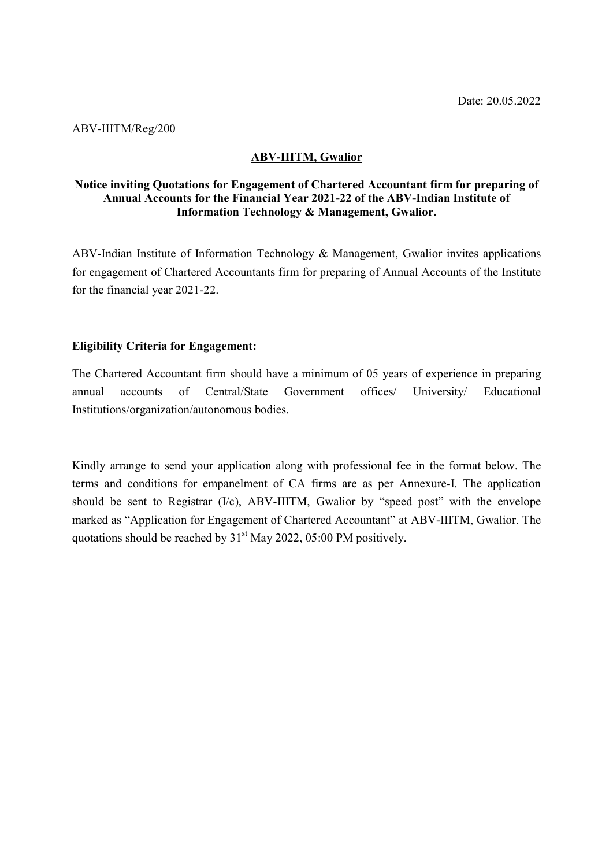### ABV-IIITM/Reg/200

## ABV-IIITM, Gwalior

### Notice inviting Quotations for Engagement of Chartered Accountant firm for preparing of Annual Accounts for the Financial Year 2021-22 of the ABV-Indian Institute of Information Technology & Management, Gwalior.

ABV-Indian Institute of Information Technology & Management, Gwalior invites applications for engagement of Chartered Accountants firm for preparing of Annual Accounts of the Institute for the financial year 2021-22.

#### Eligibility Criteria for Engagement:

The Chartered Accountant firm should have a minimum of 05 years of experience in preparing annual accounts of Central/State Government offices/ University/ Educational Institutions/organization/autonomous bodies.

Kindly arrange to send your application along with professional fee in the format below. The terms and conditions for empanelment of CA firms are as per Annexure-I. The application should be sent to Registrar (I/c), ABV-IIITM, Gwalior by "speed post" with the envelope marked as "Application for Engagement of Chartered Accountant" at ABV-IIITM, Gwalior. The quotations should be reached by  $31<sup>st</sup>$  May 2022, 05:00 PM positively.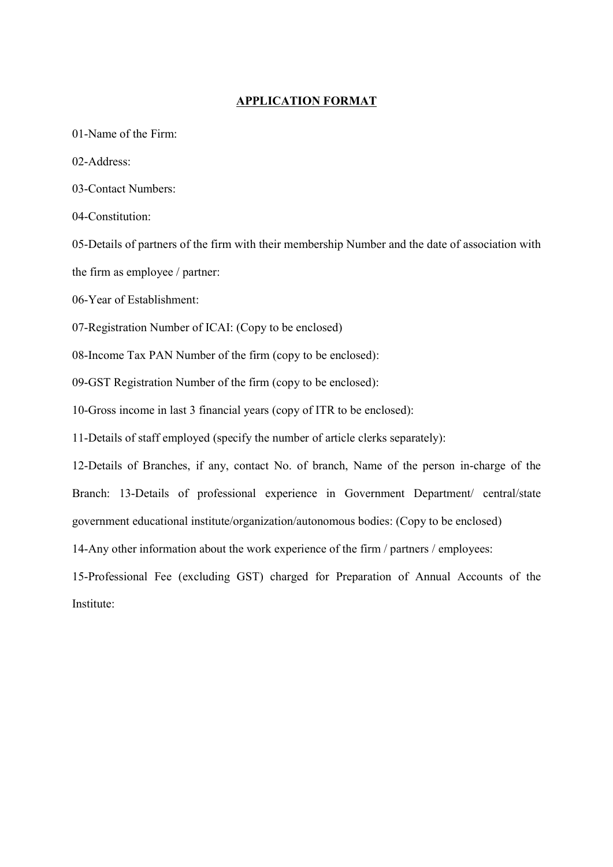#### APPLICATION FORMAT

01-Name of the Firm:

02-Address:

03-Contact Numbers:

04-Constitution:

05-Details of partners of the firm with their membership Number and the date of association with the firm as employee / partner:

06-Year of Establishment:

07-Registration Number of ICAI: (Copy to be enclosed)

08-Income Tax PAN Number of the firm (copy to be enclosed):

09-GST Registration Number of the firm (copy to be enclosed):

10-Gross income in last 3 financial years (copy of ITR to be enclosed):

11-Details of staff employed (specify the number of article clerks separately):

12-Details of Branches, if any, contact No. of branch, Name of the person in-charge of the Branch: 13-Details of professional experience in Government Department/ central/state government educational institute/organization/autonomous bodies: (Copy to be enclosed)

14-Any other information about the work experience of the firm / partners / employees:

15-Professional Fee (excluding GST) charged for Preparation of Annual Accounts of the Institute: